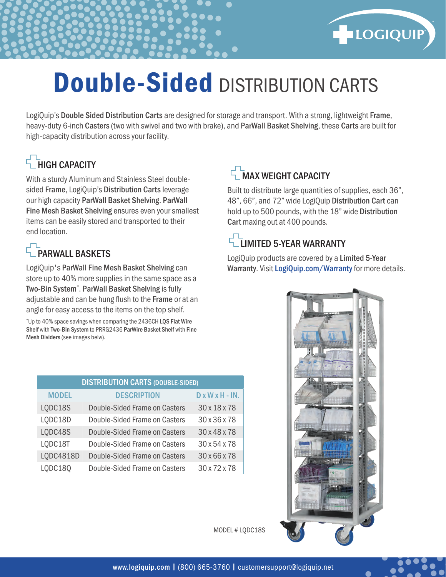

# Double-Sided DISTRIBUTION CARTS

LogiQuip's Double Sided Distribution Carts are designed for storage and transport. With a strong, lightweight Frame, heavy-duty 6-inch Casters (two with swivel and two with brake), and ParWall Basket Shelving, these Carts are built for high-capacity distribution across your facility.

# HIGH CAPACITY

With a sturdy Aluminum and Stainless Steel doublesided Frame, LogiQuip's Distribution Carts leverage our high capacity ParWall Basket Shelving. ParWall Fine Mesh Basket Shelving ensures even your smallest items can be easily stored and transported to their end location.

## **F** PARWALL BASKETS

LogiQuip's ParWall Fine Mesh Basket Shelving can store up to 40% more supplies in the same space as a Two-Bin System\* . ParWall Basket Shelving is fully adjustable and can be hung flush to the Frame or at an angle for easy access to the items on the top shelf.

\*Up to 40% space savings when comparing the 2436CH LQS Flat Wire Shelf with Two-Bin System to PRRG2436 ParWire Basket Shelf with Fine Mesh Dividers (see images belw).

| <b>DISTRIBUTION CARTS (DOUBLE-SIDED)</b> |                               |                   |  |  |  |  |
|------------------------------------------|-------------------------------|-------------------|--|--|--|--|
| <b>MODEL</b>                             | <b>DESCRIPTION</b>            | $D x W x H - IN.$ |  |  |  |  |
| LQDC18S                                  | Double-Sided Frame on Casters | 30 x 18 x 78      |  |  |  |  |
| LQDC18D                                  | Double-Sided Frame on Casters | 30 x 36 x 78      |  |  |  |  |
| LQDC48S                                  | Double-Sided Frame on Casters | 30 x 48 x 78      |  |  |  |  |
| LQDC18T                                  | Double-Sided Frame on Casters | 30 x 54 x 78      |  |  |  |  |
| LQDC4818D                                | Double-Sided Frame on Casters | 30 x 66 x 78      |  |  |  |  |
| LQDC18Q                                  | Double-Sided Frame on Casters | 30 x 72 x 78      |  |  |  |  |

## MAX WEIGHT CAPACITY

Built to distribute large quantities of supplies, each 36", 48", 66", and 72" wide LogiQuip Distribution Cart can hold up to 500 pounds, with the 18" wide Distribution Cart maxing out at 400 pounds.

### $\overline{L}_{\text{I}}$  IMITED 5-YEAR WARRANTY

LogiQuip products are covered by a Limited 5-Year Warranty. Visit LogiQuip.com/Warranty for more details.



MODEL # LQDC18S